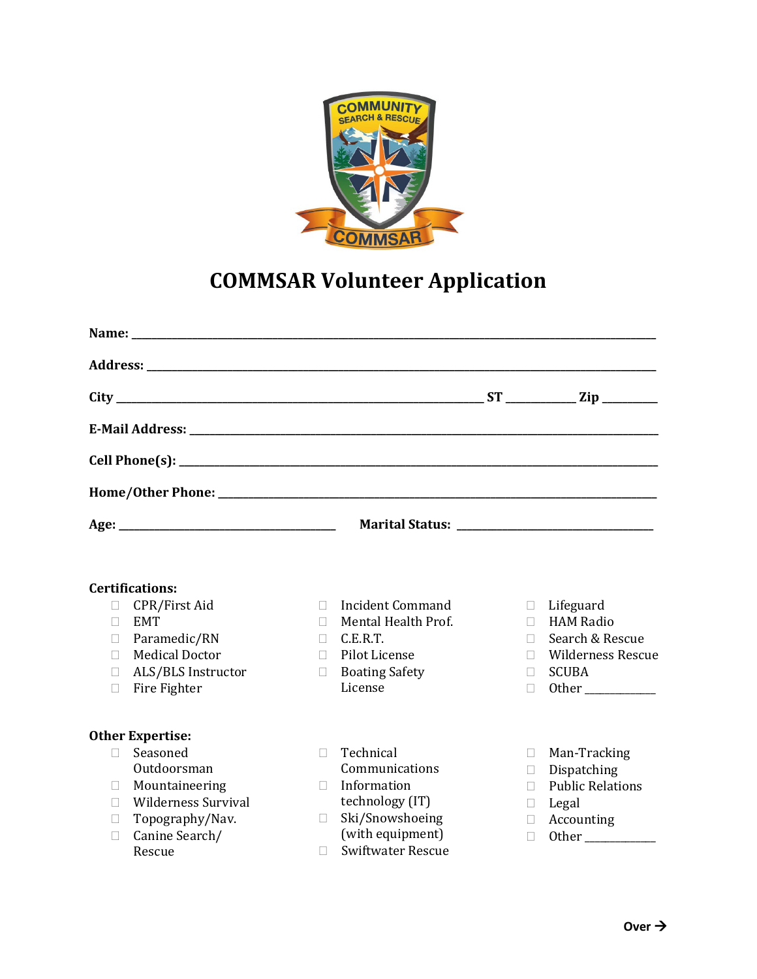

## **COMMSAR Volunteer Application**

|        | Name: Name and the state of the state of the state of the state of the state of the state of the state of the state of the state of the state of the state of the state of the state of the state of the state of the state of |              |                                        |                     |                                        |
|--------|--------------------------------------------------------------------------------------------------------------------------------------------------------------------------------------------------------------------------------|--------------|----------------------------------------|---------------------|----------------------------------------|
|        |                                                                                                                                                                                                                                |              |                                        |                     |                                        |
|        |                                                                                                                                                                                                                                |              |                                        |                     |                                        |
|        |                                                                                                                                                                                                                                |              |                                        |                     |                                        |
|        |                                                                                                                                                                                                                                |              |                                        |                     |                                        |
|        |                                                                                                                                                                                                                                |              |                                        |                     |                                        |
|        |                                                                                                                                                                                                                                |              |                                        |                     |                                        |
|        | <b>Certifications:</b>                                                                                                                                                                                                         |              |                                        |                     |                                        |
| П      | CPR/First Aid                                                                                                                                                                                                                  | П.           | <b>Incident Command</b>                | $\Box$              | Lifeguard                              |
| П      | <b>EMT</b>                                                                                                                                                                                                                     | Ш            | Mental Health Prof.                    | $\mathbb{R}^n$      | <b>HAM Radio</b>                       |
| $\Box$ | Paramedic/RN                                                                                                                                                                                                                   | П            | C.E.R.T.                               | П.                  | Search & Rescue                        |
| П<br>П | <b>Medical Doctor</b><br>ALS/BLS Instructor                                                                                                                                                                                    | П.<br>$\Box$ | Pilot License<br><b>Boating Safety</b> | П.<br>H.            | <b>Wilderness Rescue</b><br>SCUBA      |
| П      | Fire Fighter                                                                                                                                                                                                                   |              | License                                | $\Box$              |                                        |
|        | <b>Other Expertise:</b>                                                                                                                                                                                                        |              |                                        |                     |                                        |
| $\Box$ | Seasoned                                                                                                                                                                                                                       | П            | Technical                              | $\mathbb{R}^n$      | Man-Tracking                           |
|        | Outdoorsman                                                                                                                                                                                                                    | П            | Communications<br>Information          | П                   | Dispatching<br><b>Public Relations</b> |
| u<br>П | Mountaineering<br><b>Wilderness Survival</b>                                                                                                                                                                                   |              | technology (IT)                        | П<br>$\mathbb{R}^n$ | Legal                                  |
| П      | Topography/Nav.                                                                                                                                                                                                                | П            | Ski/Snowshoeing                        | П.                  | Accounting                             |
| П      | Canine Search/                                                                                                                                                                                                                 |              | (with equipment)                       | П                   |                                        |
|        | Rescue                                                                                                                                                                                                                         | П            | <b>Swiftwater Rescue</b>               |                     |                                        |